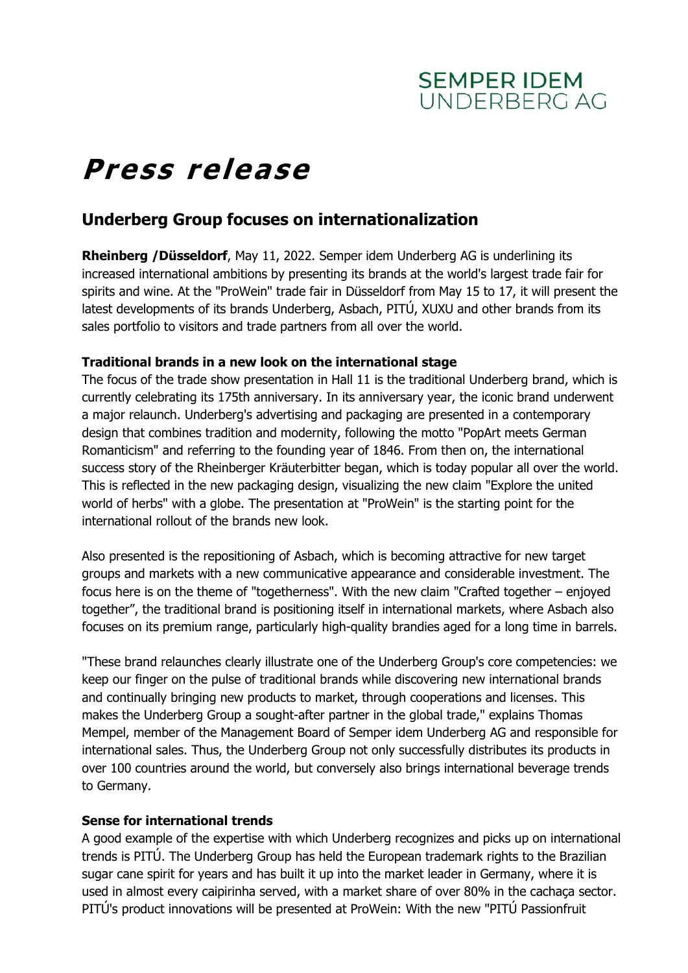

# **Press release**

# **Underberg Group focuses on internationalization**

**Rheinberg /Düsseldorf**, May 11, 2022. Semper idem Underberg AG is underlining its increased international ambitions by presenting its brands at the world's largest trade fair for spirits and wine. At the "ProWein" trade fair in Düsseldorf from May 15 to 17, it will present the latest developments of its brands Underberg, Asbach, PITÚ, XUXU and other brands from its sales portfolio to visitors and trade partners from all over the world.

## **Traditional brands in a new look on the international stage**

The focus of the trade show presentation in Hall 11 is the traditional Underberg brand, which is currently celebrating its 175th anniversary. In its anniversary year, the iconic brand underwent a major relaunch. Underberg's advertising and packaging are presented in a contemporary design that combines tradition and modernity, following the motto "PopArt meets German Romanticism" and referring to the founding year of 1846. From then on, the international success story of the Rheinberger Kräuterbitter began, which is today popular all over the world. This is reflected in the new packaging design, visualizing the new claim "Explore the united world of herbs" with a globe. The presentation at "ProWein" is the starting point for the international rollout of the brands new look.

Also presented is the repositioning of Asbach, which is becoming attractive for new target groups and markets with a new communicative appearance and considerable investment. The focus here is on the theme of "togetherness". With the new claim "Crafted together – enjoyed together", the traditional brand is positioning itself in international markets, where Asbach also focuses on its premium range, particularly high-quality brandies aged for a long time in barrels.

"These brand relaunches clearly illustrate one of the Underberg Group's core competencies: we keep our finger on the pulse of traditional brands while discovering new international brands and continually bringing new products to market, through cooperations and licenses. This makes the Underberg Group a sought-after partner in the global trade," explains Thomas Mempel, member of the Management Board of Semper idem Underberg AG and responsible for international sales. Thus, the Underberg Group not only successfully distributes its products in over 100 countries around the world, but conversely also brings international beverage trends to Germany.

## **Sense for international trends**

A good example of the expertise with which Underberg recognizes and picks up on international trends is PITÚ. The Underberg Group has held the European trademark rights to the Brazilian sugar cane spirit for years and has built it up into the market leader in Germany, where it is used in almost every caipirinha served, with a market share of over 80% in the cachaça sector. PITÚ's product innovations will be presented at ProWein: With the new "PITÚ Passionfruit